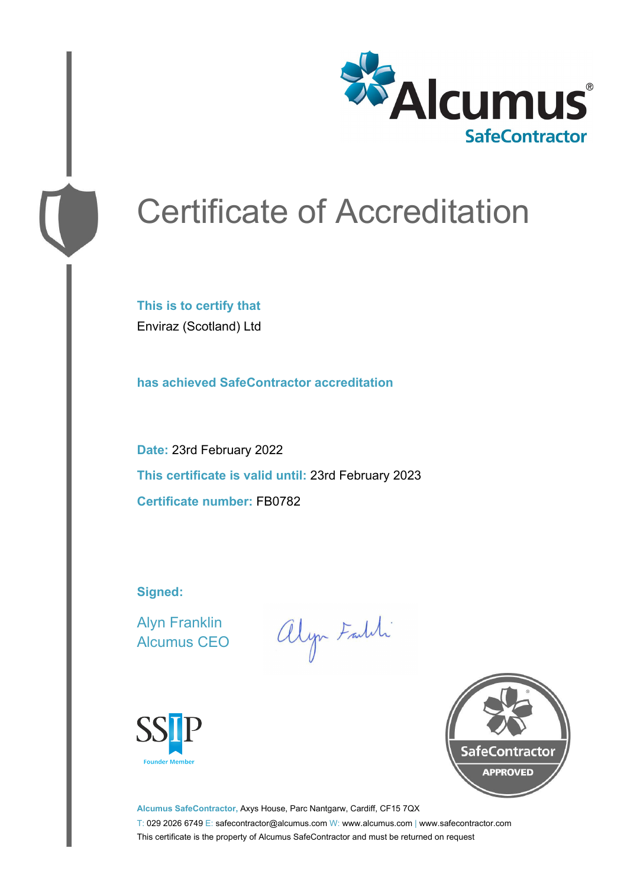

# Certificate of Accreditation

**This is to certify that** Enviraz (Scotland) Ltd

**has achieved SafeContractor accreditation**

**Date:** 23rd February 2022 **This certificate is valid until:** 23rd February 2023 **Certificate number:** FB0782

**Signed:**

Alyn Franklin Alcumus CEO

alyn Faldi





**Alcumus SafeContractor,** Axys House, Parc Nantgarw, Cardiff, CF15 7QX T: 029 2026 6749 E: safecontractor@alcumus.com W: www.alcumus.com | www.safecontractor.com This certificate is the property of Alcumus SafeContractor and must be returned on request